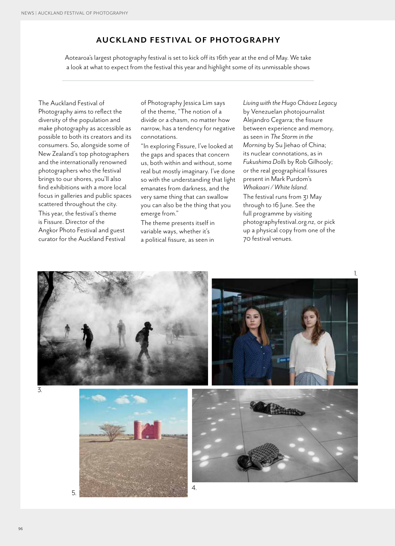## **AUCKLAND FESTIVAL OF PHOTOGRAPHY**

Aotearoa's largest photography festival is set to kick off its 16th year at the end of May. We take a look at what to expect from the festival this year and highlight some of its unmissable shows

The Auckland Festival of Photography aims to reflect the diversity of the population and make photography as accessible as possible to both its creators and its consumers. So, alongside some of New Zealand's top photographers and the internationally renowned photographers who the festival brings to our shores, you'll also find exhibitions with a more local focus in galleries and public spaces scattered throughout the city.

This year, the festival's theme is Fissure. Director of the Angkor Photo Festival and guest curator for the Auckland Festival of Photography Jessica Lim says of the theme, "The notion of a divide or a chasm, no matter how narrow, has a tendency for negative connotations.

"In exploring Fissure, I've looked at the gaps and spaces that concern us, both within and without, some real but mostly imaginary. I've done so with the understanding that light emanates from darkness, and the very same thing that can swallow you can also be the thing that you emerge from."

The theme presents itself in variable ways, whether it's a political fissure, as seen in *Living with the Hugo Chávez Legacy* by Venezuelan photojournalist Alejandro Cegarra; the fissure between experience and memory, as seen in *The Storm in the Morning* by Su Jiehao of China; its nuclear connotations, as in *Fukushima Dolls* by Rob Gilhooly; or the real geographical fissures present in Mark Purdom's *Whakaari / White Island*. The festival runs from 31 May through to 16 June. See the full programme by visiting photographyfestival.org.nz, or pick up a physical copy from one of the 70 festival venues.